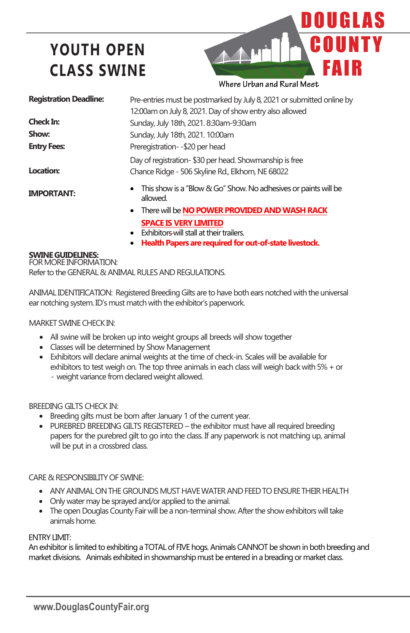# **YOUTH OPEN CLASS SWINE**



Where Urban and Rural Meet

| <b>Registration Deadline:</b> | Pre-entries must be postmarked by July 8, 2021 or submitted online by                                       |
|-------------------------------|-------------------------------------------------------------------------------------------------------------|
|                               | 12:00am on July 8, 2021. Day of show entry also allowed                                                     |
| Check In:                     | Sunday, July 18th, 2021. 8:30am-9:30am                                                                      |
| Show:                         | Sunday, July 18th, 2021. 10:00am                                                                            |
| <b>Entry Fees:</b>            | Preregistration--\$20 per head                                                                              |
| Location:                     | Day of registration-\$30 per head. Showmanship is free<br>Chance Ridge - 506 Skyline Rd., Elkhorn, NE 68022 |
| <b>IMPORTANT:</b>             | • This show is a "Blow & Go" Show. No adhesives or paints will be<br>allowed.                               |
|                               | There will be NO POWER PROVIDED AND WASH RACK<br>$\bullet$                                                  |

- **SPACE IS VERY LIMITED**
- Exhibitors-will stall at their trailers.
- **Health Papers are required for out-of-state livestock.**

### **SWINEGUIDELINES:**

FOR MORE INFORMATION: Refer to the GENERAL & ANIMAL RULES AND REGULATIONS.

ANIMAL IDENTIFICATION: Registered BreedingGilts are to have both ears notched with the universal ear notching system. ID's must match with the exhibitor's paperwork.

#### MARKET SWINE CHECK IN:

- All swine will be broken up into weight groups all breeds will show together
- Classes will be determined by Show Management
- Exhibitors will declare animal weights at the time of check-in. Scales will be available for exhibitors to test weigh on. The top three animals in each class will weigh back with 5% + or - weight variance from declared weight allowed.

### BREEDING GILTS CHECK IN:

- Breeding gilts must be born after January 1 of the current year.
- PUREBRED BREEDING GILTS REGISTERED the exhibitor must have all required breeding papers for the purebred gilt to go into the class. If any paperwork is not matching up, animal will be put in a crossbred class.

### CARE & RESPONSIBILITY OF SWINE:

- ANY ANIMAL ONTHE GROUNDS MUST HAVE WATER AND FEEDTO ENSURETHEIR HEALTH
- Only water may be sprayed and/or applied to the animal.
- The open Douglas County Fair will be a non-terminal show. After the show exhibitors will take animals home.

### ENTRY LIMIT:

An exhibitor is limited to exhibiting a TOTAL of FIVE hogs. Animals CANNOT be shown in both breeding and market divisions. Animals exhibited in showmanship must be entered in a breading or market class.